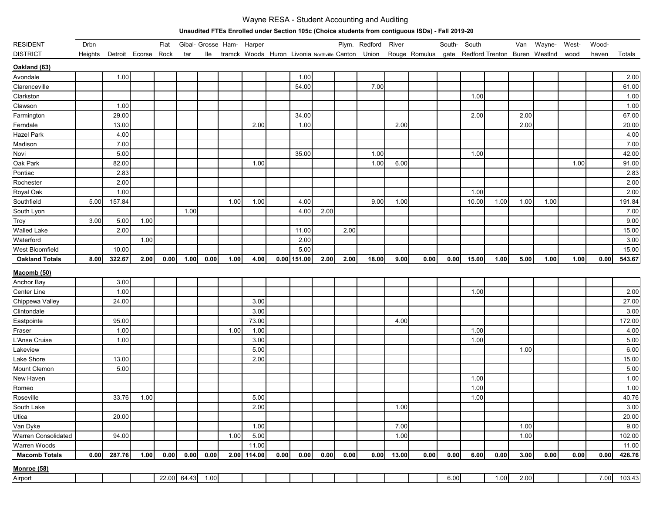## Wayne RESA - Student Accounting and Auditing

**Unaudited FTEs Enrolled under Section 105c (Choice students from contiguous ISDs) - Fall 2019-20**

| <b>RESIDENT</b>       | Drbn    |                     |      | Flat |                  |      |      | Gibal- Grosse Ham- Harper |      |               |      |      | Plym. Redford | River |                                                                                                          | South- South |       |      | Van  | Wayne- West- |      | Wood- |        |
|-----------------------|---------|---------------------|------|------|------------------|------|------|---------------------------|------|---------------|------|------|---------------|-------|----------------------------------------------------------------------------------------------------------|--------------|-------|------|------|--------------|------|-------|--------|
| <b>DISTRICT</b>       | Heights | Detroit Ecorse Rock |      |      | tar              | lle  |      |                           |      |               |      |      |               |       | tramck Woods Huron Livonia Northville Canton Union Rouge Romulus gate Redford Trenton Buren Westlnd wood |              |       |      |      |              |      | haven | Totals |
| Oakland (63)          |         |                     |      |      |                  |      |      |                           |      |               |      |      |               |       |                                                                                                          |              |       |      |      |              |      |       |        |
| Avondale              |         | 1.00                |      |      |                  |      |      |                           |      | 1.00          |      |      |               |       |                                                                                                          |              |       |      |      |              |      |       | 2.00   |
| Clarenceville         |         |                     |      |      |                  |      |      |                           |      | 54.00         |      |      | 7.00          |       |                                                                                                          |              |       |      |      |              |      |       | 61.00  |
| Clarkston             |         |                     |      |      |                  |      |      |                           |      |               |      |      |               |       |                                                                                                          |              | 1.00  |      |      |              |      |       | 1.00   |
| Clawson               |         | 1.00                |      |      |                  |      |      |                           |      |               |      |      |               |       |                                                                                                          |              |       |      |      |              |      |       | 1.00   |
| Farmington            |         | 29.00               |      |      |                  |      |      |                           |      | 34.00         |      |      |               |       |                                                                                                          |              | 2.00  |      | 2.00 |              |      |       | 67.00  |
| Ferndale              |         | 13.00               |      |      |                  |      |      | 2.00                      |      | 1.00          |      |      |               | 2.00  |                                                                                                          |              |       |      | 2.00 |              |      |       | 20.00  |
| Hazel Park            |         | 4.00                |      |      |                  |      |      |                           |      |               |      |      |               |       |                                                                                                          |              |       |      |      |              |      |       | 4.00   |
| Madison               |         | 7.00                |      |      |                  |      |      |                           |      |               |      |      |               |       |                                                                                                          |              |       |      |      |              |      |       | 7.00   |
| Novi                  |         | 5.00                |      |      |                  |      |      |                           |      | 35.00         |      |      | 1.00          |       |                                                                                                          |              | 1.00  |      |      |              |      |       | 42.00  |
| Oak Park              |         | 82.00               |      |      |                  |      |      | 1.00                      |      |               |      |      | 1.00          | 6.00  |                                                                                                          |              |       |      |      |              | 1.00 |       | 91.00  |
| Pontiac               |         | 2.83                |      |      |                  |      |      |                           |      |               |      |      |               |       |                                                                                                          |              |       |      |      |              |      |       | 2.83   |
| Rochester             |         | 2.00                |      |      |                  |      |      |                           |      |               |      |      |               |       |                                                                                                          |              |       |      |      |              |      |       | 2.00   |
| Royal Oak             |         | 1.00                |      |      |                  |      |      |                           |      |               |      |      |               |       |                                                                                                          |              | 1.00  |      |      |              |      |       | 2.00   |
| Southfield            | 5.00    | 157.84              |      |      |                  |      | 1.00 | 1.00                      |      | 4.00          |      |      | 9.00          | 1.00  |                                                                                                          |              | 10.00 | 1.00 | 1.00 | 1.00         |      |       | 191.84 |
| South Lyon            |         |                     |      |      | 1.00             |      |      |                           |      | 4.00          | 2.00 |      |               |       |                                                                                                          |              |       |      |      |              |      |       | 7.00   |
| Troy                  | 3.00    | 5.00                | 1.00 |      |                  |      |      |                           |      |               |      |      |               |       |                                                                                                          |              |       |      |      |              |      |       | 9.00   |
| <b>Walled Lake</b>    |         | 2.00                |      |      |                  |      |      |                           |      | 11.00         |      | 2.00 |               |       |                                                                                                          |              |       |      |      |              |      |       | 15.00  |
| Waterford             |         |                     | 1.00 |      |                  |      |      |                           |      | 2.00          |      |      |               |       |                                                                                                          |              |       |      |      |              |      |       | 3.00   |
| West Bloomfield       |         | 10.00               |      |      |                  |      |      |                           |      | 5.00          |      |      |               |       |                                                                                                          |              |       |      |      |              |      |       | 15.00  |
| <b>Oakland Totals</b> | 8.00    | 322.67              | 2.00 | 0.00 | 1.00             | 0.00 | 1.00 | 4.00                      |      | $0.00$ 151.00 | 2.00 | 2.00 | 18.00         | 9.00  | 0.00                                                                                                     | 0.00         | 15.00 | 1.00 | 5.00 | 1.00         | 1.00 | 0.00  | 543.67 |
| <b>Macomb (50)</b>    |         |                     |      |      |                  |      |      |                           |      |               |      |      |               |       |                                                                                                          |              |       |      |      |              |      |       |        |
| Anchor Bay            |         | 3.00                |      |      |                  |      |      |                           |      |               |      |      |               |       |                                                                                                          |              |       |      |      |              |      |       |        |
| Center Line           |         | 1.00                |      |      |                  |      |      |                           |      |               |      |      |               |       |                                                                                                          |              | 1.00  |      |      |              |      |       | 2.00   |
| Chippewa Valley       |         | 24.00               |      |      |                  |      |      | 3.00                      |      |               |      |      |               |       |                                                                                                          |              |       |      |      |              |      |       | 27.00  |
| Clintondale           |         |                     |      |      |                  |      |      | 3.00                      |      |               |      |      |               |       |                                                                                                          |              |       |      |      |              |      |       | 3.00   |
| Eastpointe            |         | 95.00               |      |      |                  |      |      | 73.00                     |      |               |      |      |               | 4.00  |                                                                                                          |              |       |      |      |              |      |       | 172.00 |
| Fraser                |         | 1.00                |      |      |                  |      | 1.00 | 1.00                      |      |               |      |      |               |       |                                                                                                          |              | 1.00  |      |      |              |      |       | 4.00   |
| L'Anse Cruise         |         | 1.00                |      |      |                  |      |      | 3.00                      |      |               |      |      |               |       |                                                                                                          |              | 1.00  |      |      |              |      |       | 5.00   |
| Lakeview              |         |                     |      |      |                  |      |      | 5.00                      |      |               |      |      |               |       |                                                                                                          |              |       |      | 1.00 |              |      |       | 6.00   |
| Lake Shore            |         | 13.00               |      |      |                  |      |      | 2.00                      |      |               |      |      |               |       |                                                                                                          |              |       |      |      |              |      |       | 15.00  |
| Mount Clemon          |         | 5.00                |      |      |                  |      |      |                           |      |               |      |      |               |       |                                                                                                          |              |       |      |      |              |      |       | 5.00   |
| New Haven             |         |                     |      |      |                  |      |      |                           |      |               |      |      |               |       |                                                                                                          |              | 1.00  |      |      |              |      |       | 1.00   |
| Romeo                 |         |                     |      |      |                  |      |      |                           |      |               |      |      |               |       |                                                                                                          |              | 1.00  |      |      |              |      |       | 1.00   |
| Roseville             |         | 33.76               | 1.00 |      |                  |      |      | 5.00                      |      |               |      |      |               |       |                                                                                                          |              | 1.00  |      |      |              |      |       | 40.76  |
| South Lake            |         |                     |      |      |                  |      |      | 2.00                      |      |               |      |      |               | 1.00  |                                                                                                          |              |       |      |      |              |      |       | 3.00   |
| Utica                 |         | 20.00               |      |      |                  |      |      |                           |      |               |      |      |               |       |                                                                                                          |              |       |      |      |              |      |       | 20.00  |
| Van Dyke              |         |                     |      |      |                  |      |      | 1.00                      |      |               |      |      |               | 7.00  |                                                                                                          |              |       |      | 1.00 |              |      |       | 9.00   |
| Warren Consolidated   |         | 94.00               |      |      |                  |      | 1.00 | 5.00                      |      |               |      |      |               | 1.00  |                                                                                                          |              |       |      | 1.00 |              |      |       | 102.00 |
| Warren Woods          |         |                     |      |      |                  |      |      | 11.00                     |      |               |      |      |               |       |                                                                                                          |              |       |      |      |              |      |       | 11.00  |
| <b>Macomb Totals</b>  | 0.00    | 287.76              | 1.00 | 0.00 | 0.00             | 0.00 |      | 2.00 114.00               | 0.00 | 0.00          | 0.00 | 0.00 | 0.00          | 13.00 | 0.00                                                                                                     | 0.00         | 6.00  | 0.00 | 3.00 | 0.00         | 0.00 | 0.00  | 426.76 |
| <b>Monroe</b> (58)    |         |                     |      |      |                  |      |      |                           |      |               |      |      |               |       |                                                                                                          |              |       |      |      |              |      |       |        |
| Airport               |         |                     |      |      | 22.00 64.43 1.00 |      |      |                           |      |               |      |      |               |       |                                                                                                          | 6.00         |       | 1.00 | 2.00 |              |      | 7.00  | 103.43 |
|                       |         |                     |      |      |                  |      |      |                           |      |               |      |      |               |       |                                                                                                          |              |       |      |      |              |      |       |        |